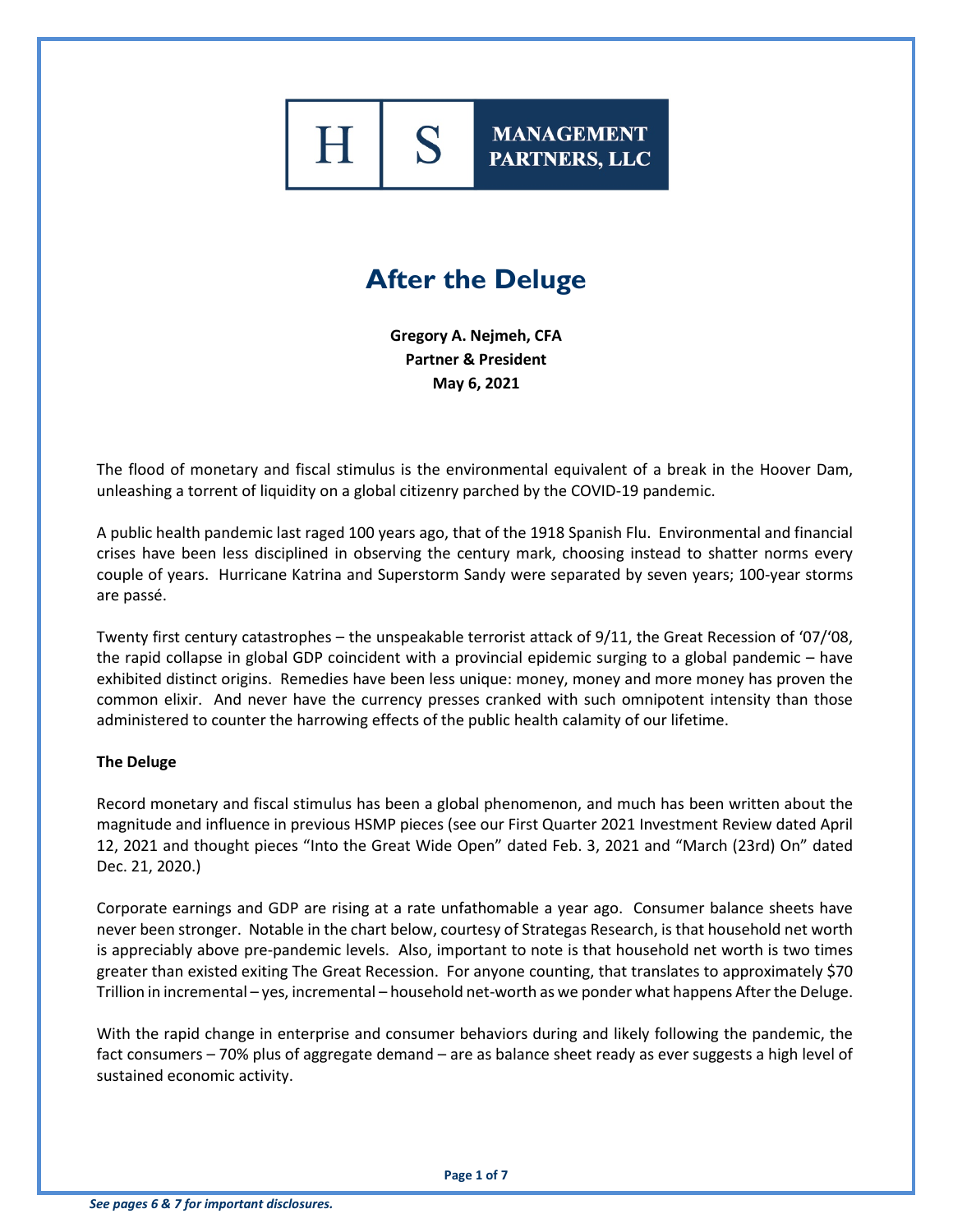

# **After the Deluge**

**Gregory A. Nejmeh, CFA Partner & President May 6, 2021**

The flood of monetary and fiscal stimulus is the environmental equivalent of a break in the Hoover Dam, unleashing a torrent of liquidity on a global citizenry parched by the COVID-19 pandemic.

A public health pandemic last raged 100 years ago, that of the 1918 Spanish Flu. Environmental and financial crises have been less disciplined in observing the century mark, choosing instead to shatter norms every couple of years. Hurricane Katrina and Superstorm Sandy were separated by seven years; 100-year storms are passé.

Twenty first century catastrophes – the unspeakable terrorist attack of 9/11, the Great Recession of '07/'08, the rapid collapse in global GDP coincident with a provincial epidemic surging to a global pandemic – have exhibited distinct origins. Remedies have been less unique: money, money and more money has proven the common elixir. And never have the currency presses cranked with such omnipotent intensity than those administered to counter the harrowing effects of the public health calamity of our lifetime.

#### **The Deluge**

Record monetary and fiscal stimulus has been a global phenomenon, and much has been written about the magnitude and influence in previous HSMP pieces (see our First Quarter 2021 Investment Review dated April 12, 2021 and thought pieces "Into the Great Wide Open" dated Feb. 3, 2021 and "March (23rd) On" dated Dec. 21, 2020.)

Corporate earnings and GDP are rising at a rate unfathomable a year ago. Consumer balance sheets have never been stronger. Notable in the chart below, courtesy of Strategas Research, is that household net worth is appreciably above pre-pandemic levels. Also, important to note is that household net worth is two times greater than existed exiting The Great Recession. For anyone counting, that translates to approximately \$70 Trillion in incremental – yes, incremental – household net-worth as we ponder what happens After the Deluge.

With the rapid change in enterprise and consumer behaviors during and likely following the pandemic, the fact consumers – 70% plus of aggregate demand – are as balance sheet ready as ever suggests a high level of sustained economic activity.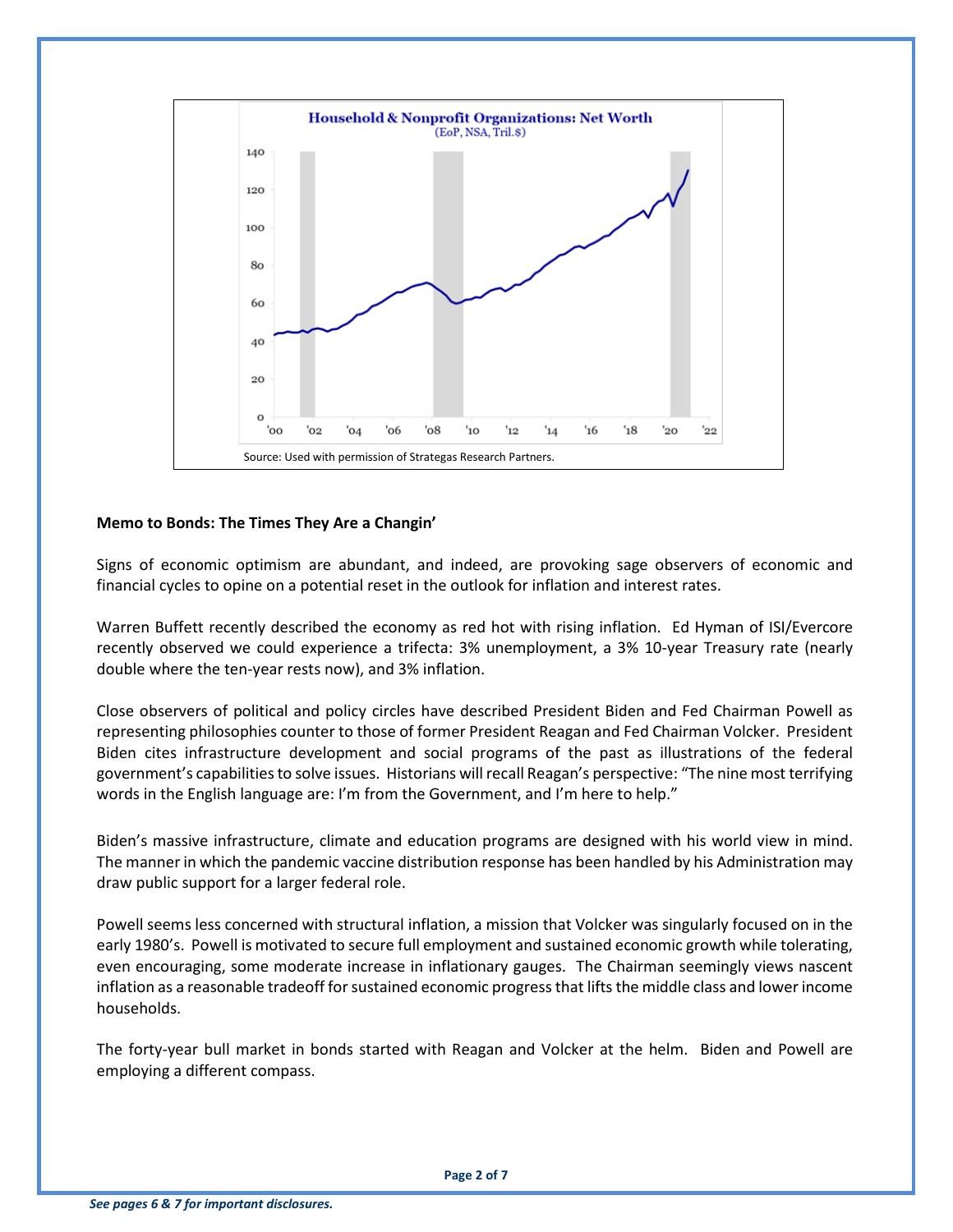

### **Memo to Bonds: The Times They Are a Changin'**

Signs of economic optimism are abundant, and indeed, are provoking sage observers of economic and financial cycles to opine on a potential reset in the outlook for inflation and interest rates.

Warren Buffett recently described the economy as red hot with rising inflation. Ed Hyman of ISI/Evercore recently observed we could experience a trifecta: 3% unemployment, a 3% 10-year Treasury rate (nearly double where the ten-year rests now), and 3% inflation.

Close observers of political and policy circles have described President Biden and Fed Chairman Powell as representing philosophies counter to those of former President Reagan and Fed Chairman Volcker. President Biden cites infrastructure development and social programs of the past as illustrations of the federal government's capabilities to solve issues. Historians will recall Reagan's perspective: "The nine most terrifying words in the English language are: I'm from the Government, and I'm here to help."

Biden's massive infrastructure, climate and education programs are designed with his world view in mind. The manner in which the pandemic vaccine distribution response has been handled by his Administration may draw public support for a larger federal role.

Powell seems less concerned with structural inflation, a mission that Volcker was singularly focused on in the early 1980's. Powell is motivated to secure full employment and sustained economic growth while tolerating, even encouraging, some moderate increase in inflationary gauges. The Chairman seemingly views nascent inflation as a reasonable tradeoff for sustained economic progress that lifts the middle class and lower income households.

The forty-year bull market in bonds started with Reagan and Volcker at the helm. Biden and Powell are employing a different compass.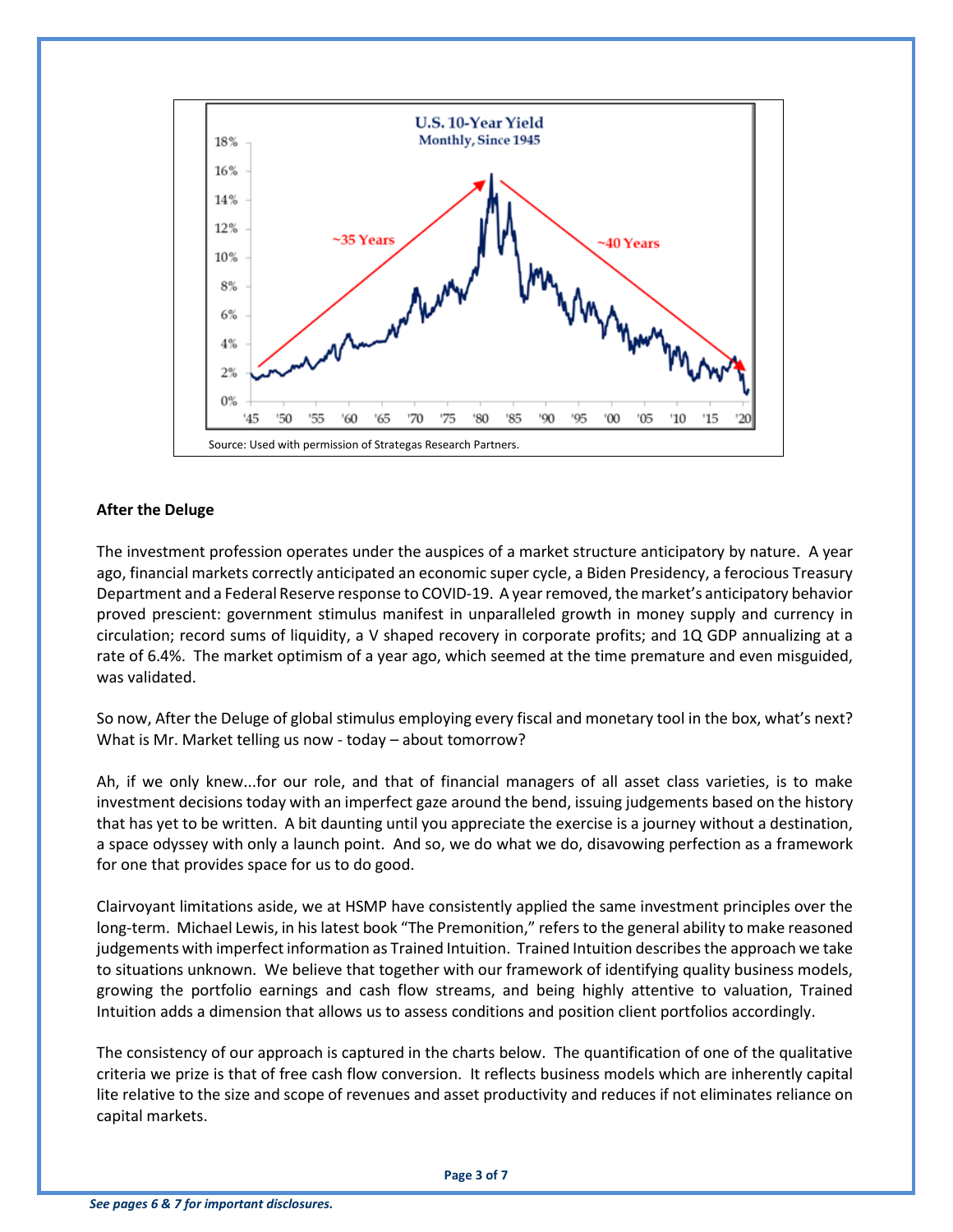

### **After the Deluge**

The investment profession operates under the auspices of a market structure anticipatory by nature. A year ago, financial markets correctly anticipated an economic super cycle, a Biden Presidency, a ferocious Treasury Department and a Federal Reserve response to COVID-19. A year removed, the market's anticipatory behavior proved prescient: government stimulus manifest in unparalleled growth in money supply and currency in circulation; record sums of liquidity, a V shaped recovery in corporate profits; and 1Q GDP annualizing at a rate of 6.4%. The market optimism of a year ago, which seemed at the time premature and even misguided, was validated.

So now, After the Deluge of global stimulus employing every fiscal and monetary tool in the box, what's next? What is Mr. Market telling us now - today – about tomorrow?

Ah, if we only knew...for our role, and that of financial managers of all asset class varieties, is to make investment decisions today with an imperfect gaze around the bend, issuing judgements based on the history that has yet to be written. A bit daunting until you appreciate the exercise is a journey without a destination, a space odyssey with only a launch point. And so, we do what we do, disavowing perfection as a framework for one that provides space for us to do good.

Clairvoyant limitations aside, we at HSMP have consistently applied the same investment principles over the long-term. Michael Lewis, in his latest book "The Premonition," refers to the general ability to make reasoned judgements with imperfect information as Trained Intuition. Trained Intuition describes the approach we take to situations unknown. We believe that together with our framework of identifying quality business models, growing the portfolio earnings and cash flow streams, and being highly attentive to valuation, Trained Intuition adds a dimension that allows us to assess conditions and position client portfolios accordingly.

The consistency of our approach is captured in the charts below. The quantification of one of the qualitative criteria we prize is that of free cash flow conversion. It reflects business models which are inherently capital lite relative to the size and scope of revenues and asset productivity and reduces if not eliminates reliance on capital markets.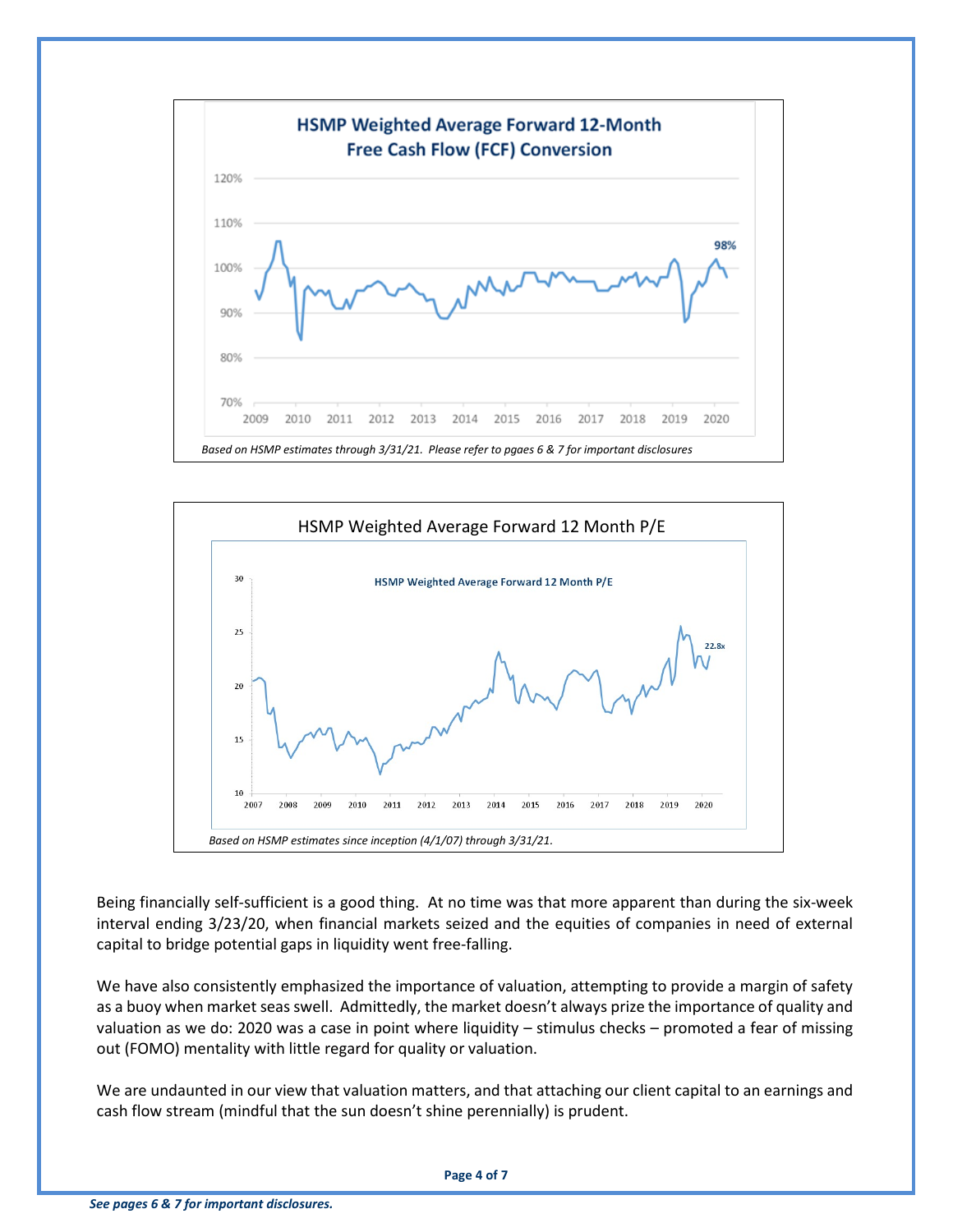



Being financially self-sufficient is a good thing. At no time was that more apparent than during the six-week interval ending 3/23/20, when financial markets seized and the equities of companies in need of external capital to bridge potential gaps in liquidity went free-falling.

We have also consistently emphasized the importance of valuation, attempting to provide a margin of safety as a buoy when market seas swell. Admittedly, the market doesn't always prize the importance of quality and valuation as we do: 2020 was a case in point where liquidity – stimulus checks – promoted a fear of missing out (FOMO) mentality with little regard for quality or valuation.

We are undaunted in our view that valuation matters, and that attaching our client capital to an earnings and cash flow stream (mindful that the sun doesn't shine perennially) is prudent.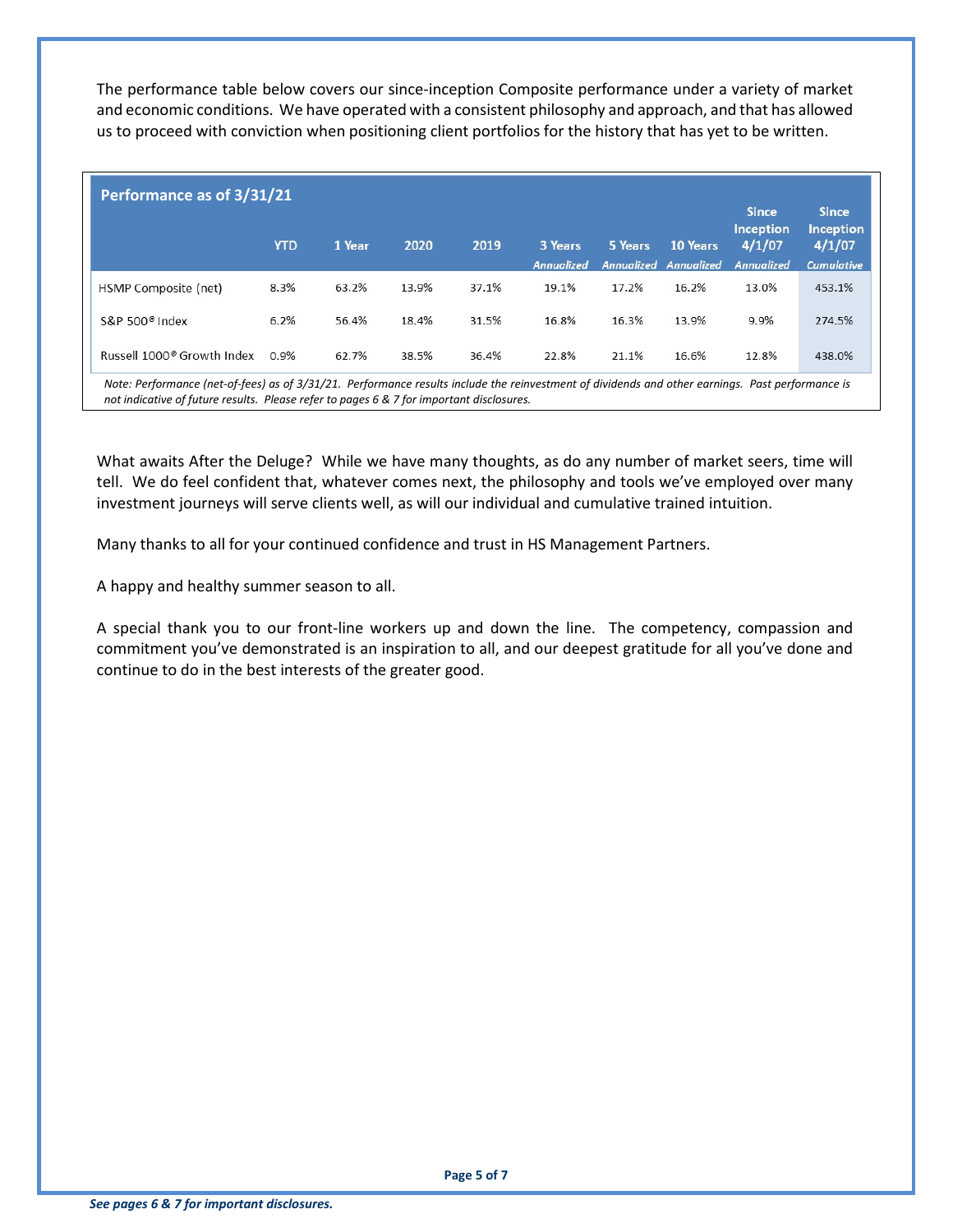The performance table below covers our since-inception Composite performance under a variety of market and economic conditions. We have operated with a consistent philosophy and approach, and that has allowed us to proceed with conviction when positioning client portfolios for the history that has yet to be written.

| Performance as of 3/31/21              |            |        |       |       |            |         |                              |                                            |                                            |
|----------------------------------------|------------|--------|-------|-------|------------|---------|------------------------------|--------------------------------------------|--------------------------------------------|
|                                        | <b>YTD</b> | 1 Year | 2020  | 2019  | 3 Years    | 5 Years | 10 Years                     | <b>Since</b><br><b>Inception</b><br>4/1/07 | <b>Since</b><br><b>Inception</b><br>4/1/07 |
|                                        |            |        |       |       | Annualized |         | <b>Annualized Annualized</b> | <b>Annualized</b>                          | <b>Cumulative</b>                          |
| HSMP Composite (net)                   | 8.3%       | 63.2%  | 13.9% | 37.1% | 19.1%      | 17.2%   | 16.2%                        | 13.0%                                      | 453.1%                                     |
| S&P 500 <sup>®</sup> Index             | 6.2%       | 56.4%  | 18.4% | 31.5% | 16.8%      | 16.3%   | 13.9%                        | 9.9%                                       | 274.5%                                     |
| Russell 1000 <sup>®</sup> Growth Index | 0.9%       | 62.7%  | 38.5% | 36.4% | 22.8%      | 21.1%   | 16.6%                        | 12.8%                                      | 438.0%                                     |

*Note: Performance (net-of-fees) as of 3/31/21. Performance results include the reinvestment of dividends and other earnings. Past performance is not indicative of future results. Please refer to pages 6 & 7 for important disclosures.*

What awaits After the Deluge? While we have many thoughts, as do any number of market seers, time will tell. We do feel confident that, whatever comes next, the philosophy and tools we've employed over many investment journeys will serve clients well, as will our individual and cumulative trained intuition.

Many thanks to all for your continued confidence and trust in HS Management Partners.

A happy and healthy summer season to all.

A special thank you to our front-line workers up and down the line. The competency, compassion and commitment you've demonstrated is an inspiration to all, and our deepest gratitude for all you've done and continue to do in the best interests of the greater good.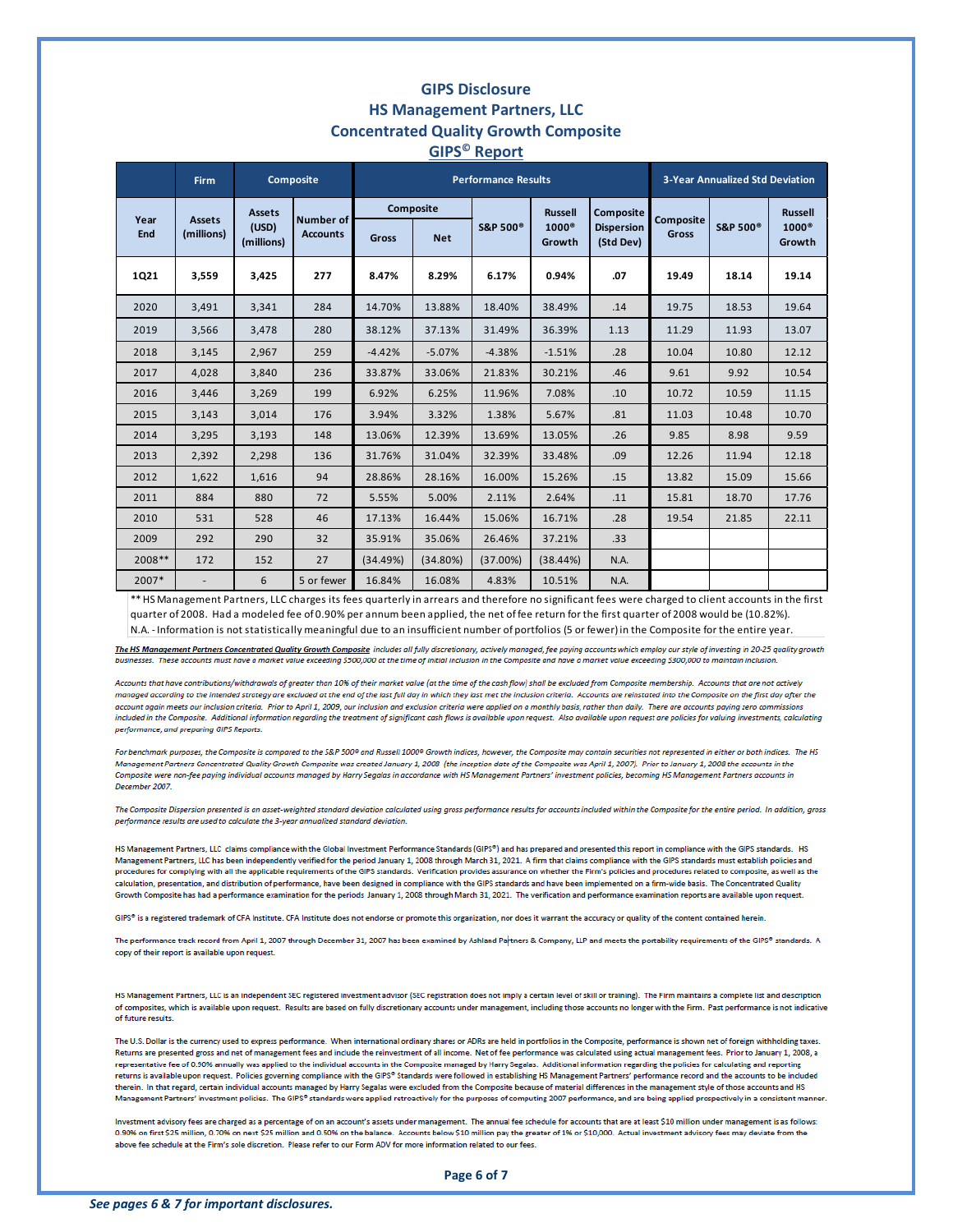## **GIPS Disclosure HS Management Partners, LLC Concentrated Quality Growth Composite GIPS© Report**

|             | <b>Firm</b>                 | <b>Composite</b>    |                              |              |             | <b>Performance Results</b> | <b>3-Year Annualized Std Deviation</b> |                                |           |                      |                        |
|-------------|-----------------------------|---------------------|------------------------------|--------------|-------------|----------------------------|----------------------------------------|--------------------------------|-----------|----------------------|------------------------|
|             |                             | <b>Assets</b>       |                              | Composite    |             |                            | <b>Russell</b>                         | <b>Composite</b>               | Composite |                      | <b>Russell</b>         |
| Year<br>End | <b>Assets</b><br>(millions) | (USD)<br>(millions) | Number of<br><b>Accounts</b> | <b>Gross</b> | <b>Net</b>  | <b>S&amp;P 500®</b>        | $1000^\circ$<br>Growth                 | <b>Dispersion</b><br>(Std Dev) | Gross     | S&P 500 <sup>®</sup> | $1000^\circ$<br>Growth |
| 1Q21        | 3,559                       | 3,425               | 277                          | 8.47%        | 8.29%       | 6.17%                      | 0.94%                                  | .07                            | 19.49     | 18.14                | 19.14                  |
| 2020        | 3,491                       | 3,341               | 284                          | 14.70%       | 13.88%      | 18.40%                     | 38.49%                                 | .14                            | 19.75     | 18.53                | 19.64                  |
| 2019        | 3,566                       | 3,478               | 280                          | 38.12%       | 37.13%      | 31.49%                     | 36.39%                                 | 1.13                           | 11.29     | 11.93                | 13.07                  |
| 2018        | 3,145                       | 2,967               | 259                          | $-4.42%$     | $-5.07%$    | $-4.38%$                   | $-1.51%$                               | .28                            | 10.04     | 10.80                | 12.12                  |
| 2017        | 4,028                       | 3,840               | 236                          | 33.87%       | 33.06%      | 21.83%                     | 30.21%                                 | .46                            | 9.61      | 9.92                 | 10.54                  |
| 2016        | 3.446                       | 3.269               | 199                          | 6.92%        | 6.25%       | 11.96%                     | 7.08%                                  | .10                            | 10.72     | 10.59                | 11.15                  |
| 2015        | 3,143                       | 3,014               | 176                          | 3.94%        | 3.32%       | 1.38%                      | 5.67%                                  | .81                            | 11.03     | 10.48                | 10.70                  |
| 2014        | 3,295                       | 3,193               | 148                          | 13.06%       | 12.39%      | 13.69%                     | 13.05%                                 | .26                            | 9.85      | 8.98                 | 9.59                   |
| 2013        | 2,392                       | 2,298               | 136                          | 31.76%       | 31.04%      | 32.39%                     | 33.48%                                 | .09                            | 12.26     | 11.94                | 12.18                  |
| 2012        | 1,622                       | 1,616               | 94                           | 28.86%       | 28.16%      | 16.00%                     | 15.26%                                 | .15                            | 13.82     | 15.09                | 15.66                  |
| 2011        | 884                         | 880                 | 72                           | 5.55%        | 5.00%       | 2.11%                      | 2.64%                                  | .11                            | 15.81     | 18.70                | 17.76                  |
| 2010        | 531                         | 528                 | 46                           | 17.13%       | 16.44%      | 15.06%                     | 16.71%                                 | .28                            | 19.54     | 21.85                | 22.11                  |
| 2009        | 292                         | 290                 | 32                           | 35.91%       | 35.06%      | 26.46%                     | 37.21%                                 | .33                            |           |                      |                        |
| 2008**      | 172                         | 152                 | 27                           | (34.49%)     | $(34.80\%)$ | $(37.00\%)$                | $(38.44\%)$                            | N.A.                           |           |                      |                        |
| 2007*       |                             | 6                   | 5 or fewer                   | 16.84%       | 16.08%      | 4.83%                      | 10.51%                                 | N.A.                           |           |                      |                        |

\*\* HS Management Partners, LLC charges its fees quarterly in arrears and therefore no significant fees were charged to client accounts in the first quarter of 2008. Had a modeled fee of 0.90% per annum been applied, the net of fee return for the first quarter of 2008 would be (10.82%). N.A. - Information is not statistically meaningful due to an insufficient number of portfolios (5 or fewer) in the Composite for the entire year.

The HS Management Partners Concentrated Quality Growth Composite includes all fully discretionary, actively managed, fee paying accounts which employ our style of investing in 20-25 quality growth businesses. These accounts must have a market value exceeding \$500,000 at the time of initial inclusion in the Composite and have a market value exceeding \$300,000 to maintain inclusion.

Accounts that have contributions/withdrawals of areater than 10% of their market value (at the time of the cash flow) shall be excluded from Composite membership. Accounts that are not actively managed according to the intended strategy are excluded at the end of the last full day in which they last met the inclusion criteria. Accounts are reinstated into the Composite on the first day after the account again meets our inclusion criteria. Prior to April 1, 2009, our inclusion and exclusion criteria were applied on a monthly basis, rather than daily. There are accounts paying zero commission included in the Composite. Additional information regarding the treatment of significant cash flows is available upon request. Also available upon request are policies for valuing investments, calculating performance, and preparing GIPS Reports.

For benchmark purposes, the Composite is compared to the S&P 500° and Russell 1000° Growth indices, however, the Composite may contain securities not represented in either or both indices. The HS Management Partners Concentrated Quality Growth Composite was created January 1, 2008 (the inception date of the Composite was April 1, 2007). Prior to January 1, 2008 the accounts in the Composite were non-fee paying individual accounts managed by Harry Segalas in accordance with HS Management Partners' investment policies, becoming HS Management Partners accounts in December 2007

The Composite Dispersion presented is an asset-weighted standard deviation calculated using gross performance results for accounts included within the Composite for the entire period. In addition, gross performance results are used to calculate the 3-year annualized standard deviation.

HS Management Partners, LLC claims compliance with the Global Investment Performance Standards (GIPS®) and has prepared and presented this report in compliance with the GIPS standards. HS Management Partners, LLC has been independently verified for the period January 1, 2008 through March 31, 2021. A firm that claims compliance with the GIPS standards must establish policies and procedures for complying with all the applicable requirements of the GIPS standards. Verification provides assurance on whether the Firm's policies and procedures related to composite, as well as the raiculation, presentation, and distribution of performance, have been designed in compliance with the GIPS standards and have been implemented on a firm-wide basis. The Concentrated Quality Growth Composite has had a performance examination for the periods January 1, 2008 through March 31, 2021. The verification and performance examination reports are available upon request.

GIPS<sup>®</sup> is a registered trademark of CFA Institute. CFA Institute does not endorse or promote this organization, nor does it warrant the accuracy or quality of the content contained herein

The performance track record from April 1, 2007 through December 31, 2007 has been examined by Ashland Partners & Company, LLP and meets the portability requirements of the GIPS® standards. A copy of their report is available upon request.

HS Management Partners, LLC is an independent SEC registered investment advisor (SEC registration does not imply a certain level of skill or training). The Firm maintains a complete list and description of composites, which is available upon request. Results are based on fully discretionary accounts under management, including those accounts no longer with the Firm. Past performance is not indicative of future results.

The U.S. Dollar is the currency used to express performance. When international ordinary shares or ADRs are held in portfolios in the Composite, performance is shown net of foreign withholding taxes. Returns are presented gross and net of management fees and include the reinvestment of all income. Net of fee performance was calculated using actual management fees. Prior to January 1, 2008, a representative fee of 0.90% annually was applied to the individual accounts in the Composite managed by Harry Segalas. Additional information regarding the policies for calculating and reporting returns is available upon request. Policies governing compliance with the GIPS® Standards were followed in establishing HS Management Partners' performance record and the accounts to be included therein. In that regard, certain individual accounts managed by Harry Segalas were excluded from the Composite because of material differences in the management style of those accounts and HS Management Partners' investment policies. The GIPS® standards were applied retroactively for the purposes of computing 2007 performance, and are being applied prospectively in a consistent manner.

Investment advisory fees are charged as a percentage of on an account's assets under management. The annual fee schedule for accounts that are at least \$10 million under management is as follows: 0.90% on first \$25 million, 0.70% on next \$25 million and 0.50% on the balance. Accounts below \$10 million pay the greater of 1% or \$10,000. Actual investment advisory fees may deviate from the above fee schedule at the Firm's sole discretion. Please refer to our Form ADV for more information related to our fees.

**Page 6 of 7**